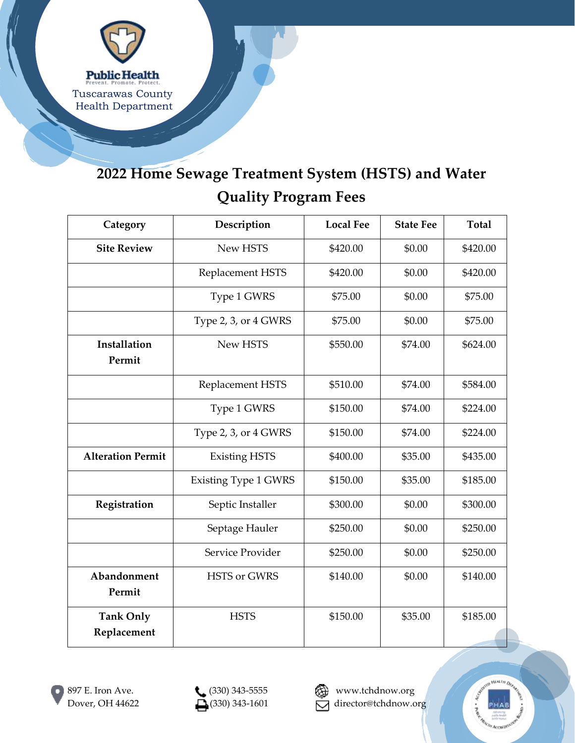

## **2022 Home Sewage Treatment System (HSTS) and Water Quality Program Fees**

| Category                        | Description                 | <b>Local Fee</b> | <b>State Fee</b> | <b>Total</b> |
|---------------------------------|-----------------------------|------------------|------------------|--------------|
| <b>Site Review</b>              | New HSTS                    | \$420.00         | \$0.00           | \$420.00     |
|                                 | Replacement HSTS            | \$420.00         | \$0.00           | \$420.00     |
|                                 | Type 1 GWRS                 | \$75.00          | \$0.00           | \$75.00      |
|                                 | Type 2, 3, or 4 GWRS        | \$75.00          | \$0.00           | \$75.00      |
| Installation<br>Permit          | New HSTS                    | \$550.00         | \$74.00          | \$624.00     |
|                                 | Replacement HSTS            | \$510.00         | \$74.00          | \$584.00     |
|                                 | Type 1 GWRS                 | \$150.00         | \$74.00          | \$224.00     |
|                                 | Type 2, 3, or 4 GWRS        | \$150.00         | \$74.00          | \$224.00     |
| <b>Alteration Permit</b>        | <b>Existing HSTS</b>        | \$400.00         | \$35.00          | \$435.00     |
|                                 | <b>Existing Type 1 GWRS</b> | \$150.00         | \$35.00          | \$185.00     |
| Registration                    | Septic Installer            | \$300.00         | \$0.00           | \$300.00     |
|                                 | Septage Hauler              | \$250.00         | \$0.00           | \$250.00     |
|                                 | Service Provider            | \$250.00         | \$0.00           | \$250.00     |
| Abandonment<br>Permit           | <b>HSTS or GWRS</b>         | \$140.00         | \$0.00           | \$140.00     |
| <b>Tank Only</b><br>Replacement | <b>HSTS</b>                 | \$150.00         | \$35.00          | \$185.00     |